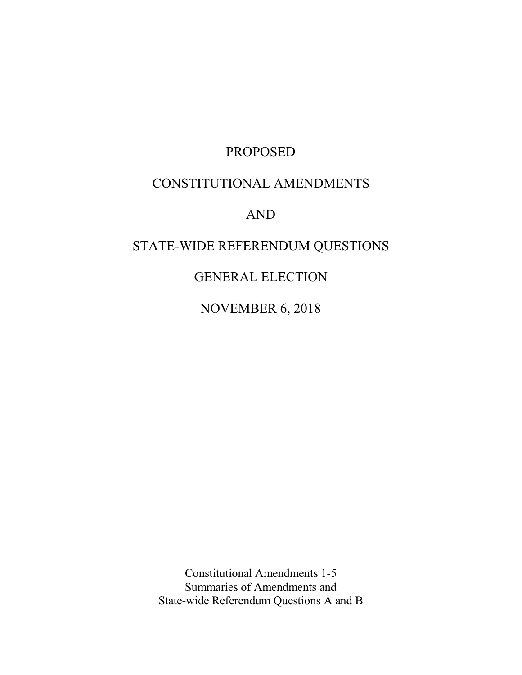## PROPOSED

# CONSTITUTIONAL AMENDMENTS

## AND

# STATE-WIDE REFERENDUM QUESTIONS

## GENERAL ELECTION

NOVEMBER 6, 2018

Constitutional Amendments 1-5 Summaries of Amendments and State-wide Referendum Questions A and B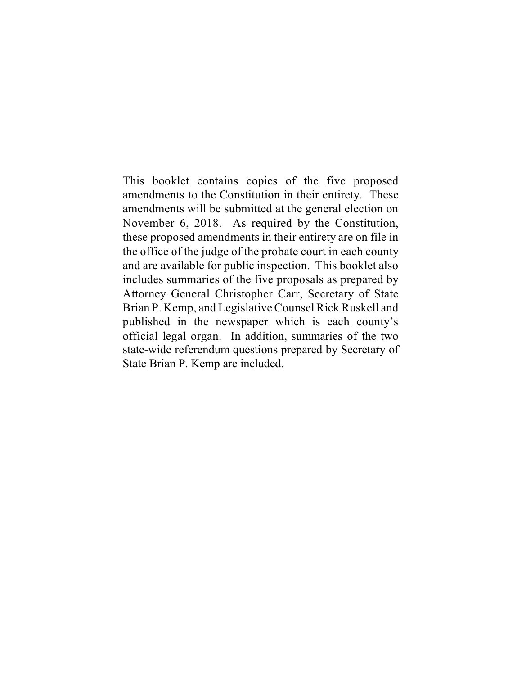This booklet contains copies of the five proposed amendments to the Constitution in their entirety. These amendments will be submitted at the general election on November 6, 2018. As required by the Constitution, these proposed amendments in their entirety are on file in the office of the judge of the probate court in each county and are available for public inspection. This booklet also includes summaries of the five proposals as prepared by Attorney General Christopher Carr, Secretary of State Brian P. Kemp, and Legislative Counsel Rick Ruskell and published in the newspaper which is each county's official legal organ. In addition, summaries of the two state-wide referendum questions prepared by Secretary of State Brian P. Kemp are included.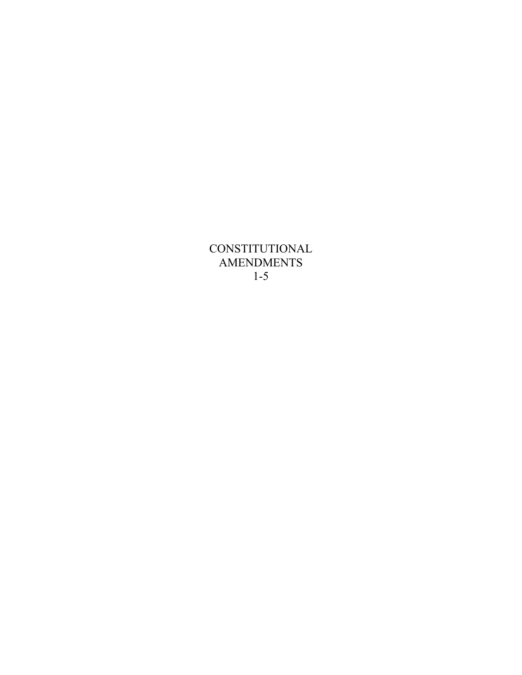**CONSTITUTIONAL** AMENDMENTS 1-5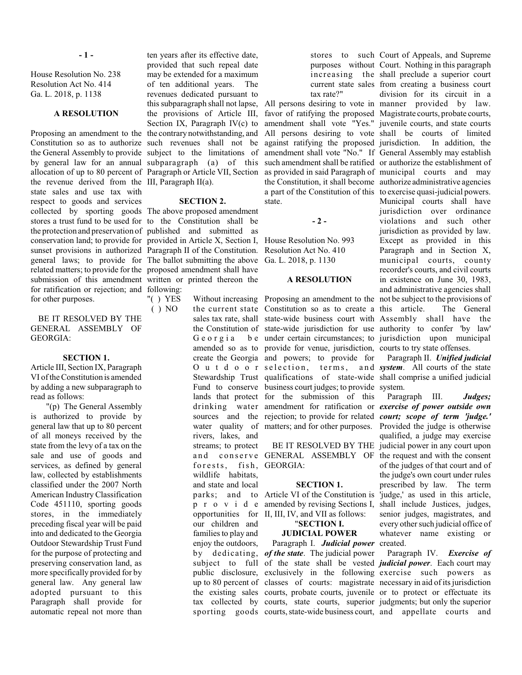**- 1 -**

House Resolution No. 238 Resolution Act No. 414 Ga. L. 2018, p. 1138

#### **A RESOLUTION**

Proposing an amendment to the the contrary notwithstanding, and Constitution so as to authorize such revenues shall not be the General Assembly to provide subject to the limitations of by general law for an annual subparagraph (a) of this allocation of up to 80 percent of Paragraph or Article VII, Section the revenue derived from the III, Paragraph II(a). state sales and use tax with respect to goods and services collected by sporting goods The above proposed amendment stores a trust fund to be used for to the Constitution shall be the protection and preservation of published and submitted as conservation land; to provide for provided in Article X, Section I, House Resolution No. 993 sunset provisions in authorized Paragraph II of the Constitution. Resolution Act No. 410 general laws; to provide for The ballot submitting the above Ga. L. 2018, p. 1130 related matters; to provide for the proposed amendment shall have submission of this amendment written or printed thereon the for ratification or rejection; and following: for other purposes.

BE IT RESOLVED BY THE GENERAL ASSEMBLY OF GEORGIA:

#### **SECTION 1.**

Article III, Section IX, Paragraph VI ofthe Constitution is amended by adding a new subparagraph to read as follows:

"(p) The General Assembly is authorized to provide by general law that up to 80 percent of all moneys received by the state from the levy of a tax on the sale and use of goods and services, as defined by general law, collected by establishments classified under the 2007 North American Industry Classification Code 451110, sporting goods stores, in the immediately preceding fiscal year will be paid into and dedicated to the Georgia Outdoor Stewardship Trust Fund for the purpose of protecting and preserving conservation land, as more specifically provided for by general law. Any general law adopted pursuant to this Paragraph shall provide for automatic repeal not more than

ten years after its effective date, provided that such repeal date may be extended for a maximum of ten additional years. The revenues dedicated pursuant to the provisions of Article III, favor of ratifying the proposed Magistrate courts, probate courts, Section IX, Paragraph IV(c) to

#### **SECTION 2.**

rivers, lakes, and streams; to protect forests, fish, GEORGIA: wildlife habitats, and state and local our children and families to play and enjoy the outdoors,

tax rate?"

state.

**- 2 -**

#### **A RESOLUTION**

"( ) YES Without increasing Proposing an amendment to the not be subject to the provisions of ( ) NO the current state Constitution so as to create a this article. The General sales tax rate, shall state-wide business court with Assembly shall have the the Constitution of state-wide jurisdiction for use authority to confer 'by law' Georgia be under certain circumstances; to jurisdiction upon municipal amended so as to provide for venue, jurisdiction, courts to try state offenses. create the Georgia and powers; to provide for O u t d o o r selection, terms, and system. All courts of the state Stewardship Trust qualifications of state-wide shall comprise a unified judicial Fund to conserve business court judges; to provide system. lands that protect for the submission of this drinking water amendment for ratification or *exercise of power outside own* sources and the rejection; to provide for related *court; scope of term 'judge.'* water quality of matters; and for other purposes.

and conserve GENERAL ASSEMBLY OF the request and with the consent

#### **SECTION 1.**

opportunities for II, III, IV, and VII as follows: "**SECTION I.**

#### **JUDICIAL POWER**

by dedicating, *of the state*. The judicial power subject to full of the state shall be vested *judicial power*. Each court may public disclosure, exclusively in the following exercise such powers as up to 80 percent of classes of courts: magistrate necessary in aid of its jurisdiction the existing sales courts, probate courts, juvenile or to protect or effectuate its tax collected by courts, state courts, superior judgments; but only the superior Paragraph I. *Judicial power* created.

this subparagraph shall not lapse, All persons desiring to vote in manner provided by law. stores to such Court of Appeals, and Supreme purposes without Court. Nothing in this paragraph increasing the shall preclude a superior court current state sales from creating a business court amendment shall vote "Yes." juvenile courts, and state courts All persons desiring to vote shall be courts of limited against ratifying the proposed jurisdiction. In addition, the amendment shall vote "No." If General Assembly may establish such amendment shall be ratified or authorize the establishment of as provided in said Paragraph of municipal courts and may the Constitution, it shall become authorize administrative agencies a part of the Constitution of this to exercise quasi-judicial powers. division for its circuit in a Municipal courts shall have jurisdiction over ordinance violations and such other jurisdiction as provided by law. Except as provided in this Paragraph and in Section X, municipal courts, county recorder's courts, and civil courts in existence on June 30, 1983, and administrative agencies shall

Paragraph II. *Unified judicial*

parks; and to Article VI of the Constitution is 'judge,' as used in this article, p r o v i d e amended by revising Sections I, shall include Justices, judges, BE IT RESOLVED BY THE judicial power in any court upon Paragraph III. *Judges;* Provided the judge is otherwise qualified, a judge may exercise of the judges of that court and of the judge's own court under rules prescribed by law. The term senior judges, magistrates, and every other such judicial office of whatever name existing or

sporting goods courts, state-wide business court, and appellate courts andParagraph IV. *Exercise of*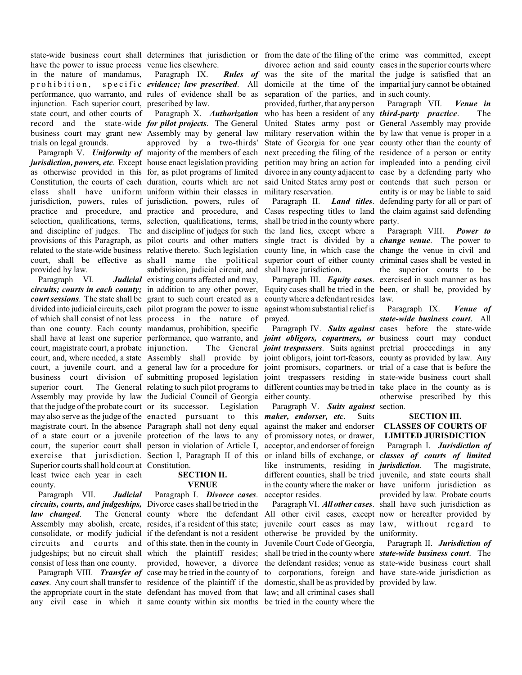state-wide business court shall determines that jurisdiction or from the date of the filing of the crime was committed, except have the power to issue process venue lies elsewhere. in the nature of mandamus, p r o h i b i t i o n, performance, quo warranto, and rules of evidence shall be as separation of the parties, and in such county. injunction. Each superior court, prescribed by law. state court, and other courts of record and the state-wide *for pilot projects*. The General business court may grant new Assembly may by general law trials on legal grounds.

*jurisdiction, powers, etc*. Except house enact legislation providing as otherwise provided in this for, as pilot programs of limited Constitution, the courts of each duration, courts which are not class shall have uniform uniform within their classes in jurisdiction, powers, rules of jurisdiction, powers, rules of practice and procedure, and practice and procedure, and selection, qualifications, terms, selection, qualifications, terms, and discipline of judges. The and discipline of judges for such provisions of this Paragraph, as pilot courts and other matters related to the state-wide business relative thereto. Such legislation court, shall be effective as shall name the political provided by law.

Paragraph VI. *court sessions*. The state shall be grant to such court created as a divided into judicial circuits, each pilot program the power to issue of which shall consist of not less process in the nature of than one county. Each county mandamus, prohibition, specific shall have at least one superior performance, quo warranto, and court, magistrate court, a probate injunction. court, and, where needed, a state Assembly shall provide by superior court. Assembly may provide by law the Judicial Council of Georgia that the judge ofthe probate court or its successor. Legislation magistrate court. In the absence Paragraph shall not deny equal of a state court or a juvenile protection of the laws to any court, the superior court shall person in violation of Article I, exercise that jurisdiction. Section I, Paragraph II of this Superior courts shall hold court at Constitution. least twice each year in each county.

Paragraph VII. *Judicial circuits, courts, and judgeships,* Divorce cases shall be tried in the *law changed.* Assembly may abolish, create, resides, if a resident of this state; juvenile court cases as may law, without regard to consolidate, or modify judicial if the defendant is not a resident otherwise be provided by the uniformity. circuits and courts and of this state, then in the county in judgeships; but no circuit shall which the plaintiff resides;

cases. Any court shall transfer to residence of the plaintiff if the domestic, shall be as provided by provided by law. the appropriate court in the state defendant has moved from that law; and all criminal cases shall

Paragraph IX. *evidence; law prescribed*. All domicile at the time of the impartial jury cannot be obtained

Paragraph V. *Uniformity of* majority of the members of each circuits; courts in each county; in addition to any other power, Equity cases shall be tried in the been, or shall be, provided by court, a juvenile court, and a general law for a procedure for joint promisors, copartners, or trial of a case that is before the business court division of submitting proposed legislation joint trespassers residing in state-wide business court shall may also serve as the judge of the enacted pursuant to this *maker, endorser, etc*. Suits Paragraph X. *Authorization* approved by a two-thirds' subdivision, judicial circuit, and *Judicial* existing courts affected and may, The General The General relating to such pilot programs to

#### **SECTION II. VENUE**

consist of less than one county. provided, however, a divorce Paragraph VIII. *Transfer of* case may be tried in the county of to corporations, foreign and have state-wide jurisdiction as any civil case in which it same county within six months be tried in the county where the Paragraph I. *Divorce cases*. county where the defendant All other civil cases, except now or hereafter provided by

divorce action and said county cases in the superior courts where was the site of the marital the judge is satisfied that an provided, further, that anyperson who has been a resident of any *third-party practice*. The United States army post or General Assembly may provide military reservation within the by law that venue is proper in a State of Georgia for one year county other than the county of next preceding the filing of the residence of a person or entity petition may bring an action for impleaded into a pending civil divorce in any county adjacent to case by a defending party who said United States army post or contends that such person or military reservation.

Cases respecting titles to land the claim against said defending shall be tried in the county where party. the land lies, except where a single tract is divided by a *change venue*. The power to county line, in which case the change the venue in civil and superior court of either county criminal cases shall be vested in shall have jurisdiction.

county where a defendant resides law. against whomsubstantial reliefis prayed.

*joint obligors, copartners, or* business court may conduct joint trespassers. Suits against pretrial proceedings in any joint obligors, joint tort-feasors, county as provided by law. Any different counties may be tried in take place in the county as is either county.

Paragraph V. *Suits against* section. against the maker and endorser of promissory notes, or drawer, acceptor, and endorser of foreign or inland bills of exchange, or *classes of courts of limited* like instruments, residing in *jurisdiction*. different counties, shall be tried juvenile, and state courts shall in the county where the maker or have uniform jurisdiction as acceptor resides.

Juvenile Court Code of Georgia, shall be tried in the county where *state-wide business court*. The the defendant resides; venue as state-wide business court shall

Paragraph II. *Land titles*. defending party for all or part of Paragraph VII. *Venue in* entity is or may be liable to said

Paragraph III. *Equity cases*. exercised in such manner as has Paragraph VIII. *Power to* the superior courts to be

Paragraph IV. *Suits against* cases before the state-wide Paragraph IX. *Venue of state-wide business court*. All otherwise prescribed by this

#### **SECTION III. CLASSES OF COURTS OF LIMITED JURISDICTION**

Paragraph VI. *All other cases*. shall have such jurisdiction as Paragraph I. *Jurisdiction of* The magistrate, provided by law. Probate courts

Paragraph II. *Jurisdiction of*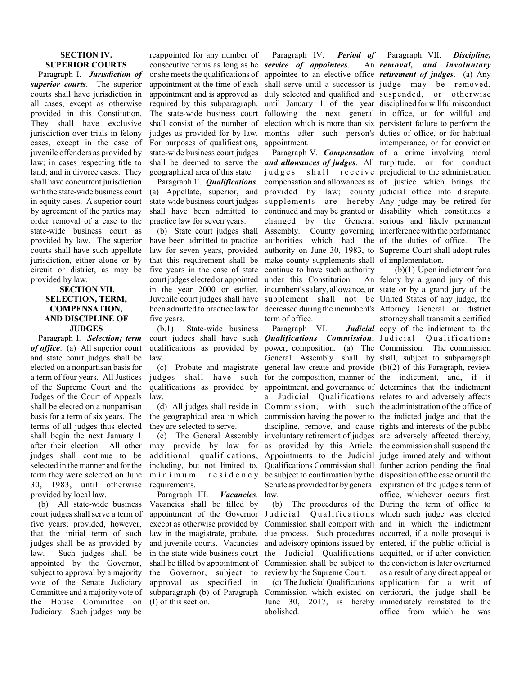#### **SECTION IV. SUPERIOR COURTS**

Paragraph I. *Jurisdiction of superior courts*. The superior courts shall have jurisdiction in all cases, except as otherwise provided in this Constitution. They shall have exclusive jurisdiction over trials in felony cases, except in the case of juvenile offenders as provided by law; in cases respecting title to land; and in divorce cases. They shall have concurrent jurisdiction with the state-wide business court in equity cases. A superior court by agreement of the parties may order removal of a case to the state-wide business court as provided by law. The superior courts shall have such appellate jurisdiction, either alone or by circuit or district, as may be provided by law.

#### **SECTION VII. SELECTION, TERM, COMPENSATION, AND DISCIPLINE OF JUDGES**

Paragraph I. *Selection; term of office*. (a) All superior court and state court judges shall be elected on a nonpartisan basis for a term of four years. All Justices of the Supreme Court and the Judges of the Court of Appeals shall be elected on a nonpartisan basis for a term of six years. The terms of all judges thus elected shall begin the next January 1 after their election. All other judges shall continue to be selected in the manner and for the term they were selected on June 30, 1983, until otherwise provided by local law.

(b) All state-wide business court judges shall serve a term of five years; provided, however, that the initial term of such judges shall be as provided by law. Such judges shall be appointed by the Governor, subject to approval by a majority the Governor, subject to review by the Supreme Court. vote of the Senate Judiciary Committee and a majority vote of subparagraph (b) of Paragraph Commission which existed on certiorari, the judge shall be the House Committee on (I) of this section. Judiciary. Such judges may be

reappointed for any number of consecutive terms as long as he *service of appointees*. An or she meets the qualifications of appointment at the time of each appointment and is approved as required by this subparagraph. The state-wide business court shall consist of the number of judges as provided for by law. For purposes of qualifications, state-wide business court judges shall be deemed to serve the geographical area of this state.

practice law for seven years.

five years.

(b.1) State-wide business law.

law.

they are selected to serve.

requirements.

Paragraph III. *Vacancies*. Vacancies shall be filled by except as otherwise provided by law in the magistrate, probate, and juvenile courts. Vacancies in the state-wide business court shall be filled by appointment of approval as specified in

Paragraph IV. *Period of* appointment.

Paragraph II. *Qualifications*. compensation and allowances as of justice which brings the state-wide business court judges supplements are hereby Any judge may be retired for shall have been admitted to continued and may be granted or disability which constitutes a (b) State court judges shall Assembly. County governing interference with the performance have been admitted to practice authorities which had the of the duties of office. The law for seven years, provided authority on June 30, 1983, to Supreme Court shall adopt rules that this requirement shall be make county supplements shall of implementation. five years in the case of state continue to have such authority courtjudges elected or appointed under this Constitution. An in the year 2000 or earlier. incumbent's salary, allowance, or state or by a grand jury of the Juvenile court judges shall have supplement shall not be United States of any judge, the been admitted to practice law for decreased during the incumbent's Attorney General or district *and allowances of judges*. All turpitude, or for conduct judges shall receive prejudicial to the administration changed by the General serious and likely permanent term of office.

court judges shall have such *Qualifications Commission*; Judicial Qualifications qualifications as provided by power; composition. (a) The Commission. The commission (c) Probate and magistrate general law create and provide (b)(2) of this Paragraph, review judges shall have such for the composition, manner of the indictment, and, if it qualifications as provided by appointment, and governance of determines that the indictment (d) All judges shall reside in Commission, with such the administration of the office of the geographical area in which commission having the power to the indicted judge and that the (e) The General Assembly involuntary retirement of judges are adversely affected thereby, may provide by law for as provided by this Article. the commission shall suspend the additional qualifications, Appointments to the Judicial judge immediately and without including, but not limited to, Qualifications Commission shall further action pending the final m i n i m u m re s i d e n c y be subject to confirmation by the disposition of the case or until the Paragraph VI. General Assembly shall by shall, subject to subparagraph a Judicial Qualifications relates to and adversely affects discipline, remove, and cause rights and interests of the public Senate as provided for by general expiration of the judge's term of law.

appointment of the Governor Judicial Qualifications which such judge was elected Commission shall comport with and in which the indictment due process. Such procedures occurred, if a nolle prosequi is and advisory opinions issued by entered, if the public official is the Judicial Qualifications acquitted, or if after conviction Commission shall be subject to the conviction is later overturned

abolished.

(a) Appellate, superior, and provided by law; county judicial office into disrepute. appointee to an elective office *retirement of judges*. (a) Any shall serve until a successor is judge may be removed, duly selected and qualified and suspended, or otherwise until January 1 of the year disciplined for willful misconduct following the next general in office, or for willful and election which is more than six persistent failure to perform the months after such person's duties of office, or for habitual Paragraph V. *Compensation* of a crime involving moral Paragraph VII. *Discipline, removal, and involuntary* intemperance, or for conviction

> (b) The procedures of the During the term of office to (c) The Judicial Qualifications application for a writ of June 30, 2017, is hereby immediately reinstated to the (b)(1) Upon indictment for a felony by a grand jury of this attorney shall transmit a certified Judicial copy of the indictment to the office, whichever occurs first. as a result of any direct appeal or office from which he was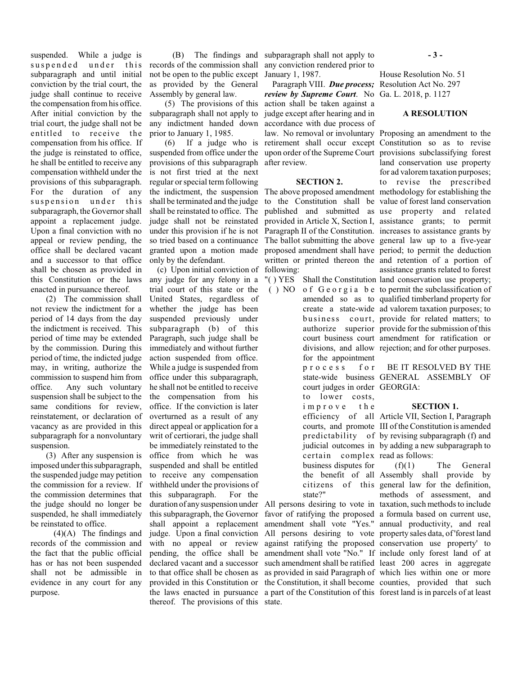suspended. While a judge is suspended under this subparagraph and until initial conviction by the trial court, the judge shall continue to receive the compensation fromhis office. After initial conviction by the trial court, the judge shall not be entitled to receive the compensation from his office. If the judge is reinstated to office, he shall be entitled to receive any compensation withheld under the provisions of this subparagraph. For the duration of any suspension under this subparagraph, the Governor shall appoint a replacement judge. Upon a final conviction with no appeal or review pending, the office shall be declared vacant and a successor to that office shall be chosen as provided in this Constitution or the laws enacted in pursuance thereof.

(2) The commission shall not review the indictment for a period of 14 days from the day the indictment is received. This period of time may be extended by the commission. During this period of time, the indicted judge may, in writing, authorize the commission to suspend him from office. Any such voluntary suspension shall be subject to the same conditions for review, reinstatement, or declaration of vacancy as are provided in this subparagraph for a nonvoluntary suspension.

(3) After any suspension is imposed under this subparagraph, the suspended judge may petition the commission for a review. If the commission determines that the judge should no longer be suspended, he shall immediately be reinstated to office.

(4)(A) The findings and records of the commission and the fact that the public official has or has not been suspended shall not be admissible in evidence in any court for any purpose.

records of the commission shall not be open to the public except January 1, 1987. as provided by the General Assembly by general law.

(5) The provisions of this subparagraph shall not apply to prior to January 1, 1985.

(6) If a judge who is provisions of this subparagraph after review. is not first tried at the next regular or special term following the indictment, the suspension The above proposed amendment methodology for establishing the shall be terminated and the judge shall be reinstated to office. The judge shall not be reinstated under this provision if he is not so tried based on a continuance granted upon a motion made only by the defendant.

(c) Upon initial conviction of any judge for any felony in a trial court of this state or the United States, regardless of whether the judge has been suspended previously under subparagraph (b) of this Paragraph, such judge shall be immediately and without further action suspended from office. While a judge is suspended from office under this subparagraph, he shall not be entitled to receive the compensation from his office. If the conviction is later overturned as a result of any direct appeal or application for a writ of certiorari, the judge shall be immediately reinstated to the office from which he was suspended and shall be entitled to receive any compensation withheld under the provisions of this subparagraph. For the duration of any suspension under All persons desiring to vote in taxation, such methods to include this subparagraph, the Governor favor of ratifying the proposed a formula based on current use, shall appoint a replacement amendment shall vote "Yes." annual productivity, and real judge. Upon a final conviction All persons desiring to vote property sales data, of'forest land with no appeal or review against ratifying the proposed conservation use property' to pending, the office shall be declared vacant and a successor to that office shall be chosen as as provided in said Paragraph of which lies within one or more provided in this Constitution or the Constitution, it shall become counties, provided that such the laws enacted in pursuance a part of the Constitution of this forest land is in parcels of at leastthereof. The provisions of this state.

(B) The findings and subparagraph shall not apply to any conviction rendered prior to

any indictment handed down accordance with due process of suspended from office under the upon order of the Supreme Court provisions subclassifying forest Paragraph VIII. *Due process;* Resolution Act No. 297 *review by Supreme Court*. No Ga. L. 2018, p. 1127 action shall be taken against a judge except after hearing and in law. No removal or involuntary Proposing an amendment to the retirement shall occur except Constitution so as to revise

#### **SECTION 2.**

to the Constitution shall be value of forest land conservation published and submitted as use property and related provided in Article X, Section I, assistance grants; to permit Paragraph II of the Constitution. increases to assistance grants by The ballot submitting the above general law up to a five-year proposed amendment shall have period; to permit the deduction written or printed thereon the and retention of a portion of following:

court business court amendment for ratification or divisions, and allow rejection; and for other purposes. for the appointment p r o c e s s f o r court judges in order GEORGIA: to lower costs, improve the certain complex read as follows: business disputes for state?"

amendment shall vote "No." If include only forest land of at such amendment shall be ratified least 200 acres in aggregate

House Resolution No. 51

#### **A RESOLUTION**

"( ) YES Shall the Constitution land conservation use property; () NO of Georgia be to permit the subclassification of amended so as to qualified timberland property for create a state-wide ad valorem taxation purposes; to business court, provide for related matters; to authorize superior provide for the submission of this land conservation use property for ad valorem taxation purposes; to revise the prescribed assistance grants related to forest

> state-wide business GENERAL ASSEMBLY OF BE IT RESOLVED BY THE

#### **SECTION 1.**

efficiency of all Article VII, Section I, Paragraph courts, and promote III ofthe Constitution is amended predictability of by revising subparagraph (f) and judicial outcomes in by adding a new subparagraph to

the benefit of all Assembly shall provide by citizens of this general law for the definition,  $(f)(1)$  The General methods of assessment, and

**- 3 -**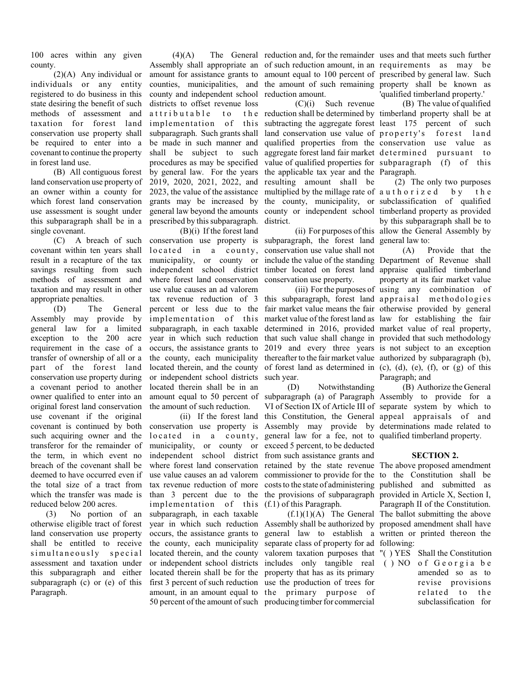100 acres within any given county.

(2)(A) Any individual or individuals or any entity registered to do business in this state desiring the benefit of such methods of assessment and taxation for forest land conservation use property shall be required to enter into a covenant to continue the property in forest land use.

(B) All contiguous forest land conservation use property of an owner within a county for which forest land conservation use assessment is sought under this subparagraph shall be in a single covenant.

(C) A breach of such covenant within ten years shall result in a recapture of the tax savings resulting from such methods of assessment and taxation and may result in other appropriate penalties.

(D) The General Assembly may provide by general law for a limited exception to the 200 acre requirement in the case of a transfer of ownership of all or a part of the forest land conservation use property during a covenant period to another owner qualified to enter into an original forest land conservation the amount of such reduction. use covenant if the original covenant is continued by both such acquiring owner and the transferor for the remainder of the term, in which event no breach of the covenant shall be deemed to have occurred even if the total size of a tract from which the transfer was made is reduced below 200 acres.

(3) No portion of an otherwise eligible tract of forest land conservation use property shall be entitled to receive simultaneously special assessment and taxation under this subparagraph and either subparagraph (c) or (e) of this Paragraph.

county and independent school reduction amount. districts to offset revenue loss attributable to implementation of this subparagraph. Such grants shall be made in such manner and shall be subject to such procedures as may be specified by general law. For the years 2019, 2020, 2021, 2022, and resulting amount shall be prescribed by this subparagraph. district. (B)(i) If the forest land

located in a county, conservation use value shall not where forest land conservation conservation use property. use value causes an ad valorem implementation of this subparagraph, in each taxable year in which such reduction occurs, the assistance grants to or independent school districts such year. located therein shall be in an amount equal to 50 percent of

implementation of this (f.1) of this Paragraph. subparagraph, in each taxable or independent school districts includes only tangible real located therein shall be for the property that has as its primary first 3 percent of such reduction use the production of trees for amount, in an amount equal to the primary purpose of

(4)(A) The General reduction and, for the remainder uses and that meets such further Assembly shall appropriate an of such reduction amount, in an requirements as may be amount for assistance grants to amount equal to 100 percent of prescribed by general law. Such counties, municipalities, and the amount of such remaining property shall be known as

2023, the value of the assistance multiplied by the millage rate of a u t h o r i z e d by the grants may be increased by the county, municipality, or subclassification of qualified general law beyond the amounts county or independent school timberland property as provided (C)(i) Such revenue reduction shall be determined by timberland property shall be at subtracting the aggregate forest least 175 percent of such land conservation use value of property's forest land qualified properties from the conservation use value as aggregate forest land fair market determined pursuant to value of qualified properties for subparagraph (f) of this the applicable tax year and the Paragraph.

conservation use property is subparagraph, the forest land general law to: municipality, or county or include the value of the standing Department of Revenue shall independent school district timber located on forest land appraise qualified timberland

tax revenue reduction of 3 this subparagraph, forest land appraisal methodologies percent or less due to the fair market value means the fair otherwise provided by general the county, each municipality thereafter to the fair market value authorized by subparagraph (b), located therein, and the county of forest land as determined in (c), (d), (e), (f), or (g) of this market value of the forest land as law for establishing the fair determined in 2016, provided market value of real property, that such value shall change in provided that such methodology 2019 and every three years is not subject to an exception

(ii) If the forest land this Constitution, the General appeal appraisals of and conservation use property is Assembly may provide by determinations made related to located in a county, general law for a fee, not to qualified timberland property. municipality, or county or exceed 5 percent, to be deducted independent school district from such assistance grants and where forest land conservation retained by the state revenue The above proposed amendment use value causes an ad valorem commissioner to provide for the to the Constitution shall be tax revenue reduction of more costs to the state of administering published and submitted as than 3 percent due to the the provisions of subparagraph provided in Article X, Section I, (D) Notwithstanding subparagraph (a) of Paragraph Assembly to provide for a VI of Section IX of Article III of separate system by which to

year in which such reduction Assembly shall be authorized by proposed amendment shall have occurs, the assistance grants to general law to establish a written or printed thereon the the county, each municipality separate class of property for ad following: located therein, and the county valorem taxation purposes that "() YES Shall the Constitution 50 percent of the amount of such producing timber for commercial

'qualified timberland property.'

(B) The value of qualified

(ii) For purposes of this allow the General Assembly by (2) The only two purposes by this subparagraph shall be to

(iii) For the purposes of using any combination of (A) Provide that the property at its fair market value Paragraph; and

(B) Authorize the General

#### **SECTION 2.**

 $(f.1)(1)(A)$  The General The ballot submitting the above Paragraph II of the Constitution.

> of Georgia be amended so as to revise provisions related to the subclassification for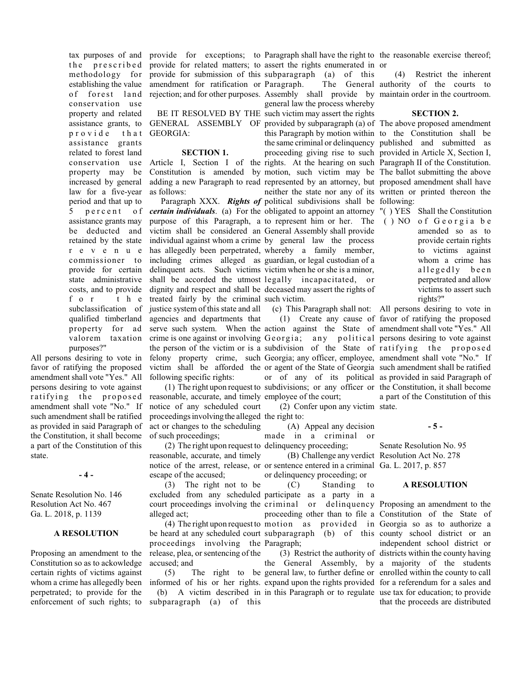conservation use property and related p r o v i d e t h a t GEORGIA: assistance grants related to forest land property may be law for a five-year as follows: period and that up to assistance grants may qualified timberland property for ad purposes?"

All persons desiring to vote in favor of ratifying the proposed amendment shall vote "Yes." All persons desiring to vote against ratifying the proposed amendment shall vote "No." If such amendment shall be ratified as provided in said Paragraph of the Constitution, it shall become a part of the Constitution of this state.

#### **- 4 -**

Senate Resolution No. 146 Resolution Act No. 467 Ga. L. 2018, p. 1139

#### **A RESOLUTION**

Proposing an amendment to the Constitution so as to ackowledge certain rights of victims against perpetrated; to provide for the

methodology for provide for submission of this subparagraph (a) of this establishing the value amendment for ratification or

#### **SECTION 1.**

5 percent of *certain individuals*. (a) For the obligated to appoint an attorney "() YES Shall the Constitution be deducted and victim shall be considered an General Assembly shall provide retained by the state individual against whom a crime by general law the process r e v e n u e has allegedly been perpetrated, whereby a family member, commissioner to including crimes alleged as guardian, or legal custodian of a provide for certain delinquent acts. Such victims victim when he or she is a minor, state administrative shall be accorded the utmost legally incapacitated, or costs, and to provide dignity and respect and shall be deceased may assert the rights of f o r the treated fairly by the criminal such victim. subclassification of justice system of this state and all valorem taxation crime is one against or involving Georgia; any political persons desiring to vote against purpose of this Paragraph, a to represent him or her. The () NO of Georgia be agencies and departments that serve such system. When the action against the State of amendment shall vote "Yes." All the person of the victim or is a subdivision of the State of ratifying the proposed felony property crime, such Georgia; any officer, employee, amendment shall vote "No." If victim shall be afforded the or agent of the State of Georgia such amendment shall be ratified following specific rights:

> reasonable, accurate, and timely employee of the court; notice of any scheduled court proceedings involving the alleged the right to: act or changes to the scheduling of such proceedings;

(2) The right upon request to delinquency proceeding; reasonable, accurate, and timely notice of the arrest, release, or or sentence entered in a criminal Ga. L. 2017, p. 857 escape of the accused;

(3) The right not to be excluded from any scheduled participate as a party in a alleged act;

be heard at any scheduled court subparagraph (b) of this county school district or an proceedings involving the Paragraph; release, plea, or sentencing of the accused; and

whom a crime has allegedly been informed of his or her rights. expand upon the rights provided for a referendum for a sales and enforcement of such rights; to subparagraph (a) of this

the prescribed provide for related matters; to assert the rights enumerated in or assistance grants, to GENERAL ASSEMBLY OF provided by subparagraph (a) of The above proposed amendment increased by general adding a new Paragraph to read represented by an attorney, but proposed amendment shall have BE IT RESOLVED BY THE such victim may assert the rights Constitution is amended by motion, such victim may be The ballot submitting the above Paragraph XXX. Rights of political subdivisions shall be following: general law the process whereby this Paragraph by motion within to the Constitution shall be the same criminal or delinquency published and submitted as proceeding giving rise to such provided in Article X, Section I, neither the state nor any of its written or printed thereon the

(1) The right upon request to subdivisions; or any officer or the Constitution, it shall become or of any of its political as provided in said Paragraph of

(2) Confer upon any victim state.

(A) Appeal any decision made in a criminal or

(B) Challenge any verdict Resolution Act No. 278 or delinquency proceeding; or

(C) Standing to

tax purposes of and provide for exceptions; to Paragraph shall have the right to the reasonable exercise thereof;

of forest land rejection; and for other purposes. Assembly shall provide by maintain order in the courtroom. Paragraph. The General authority of the courts to (4) Restrict the inherent

#### **SECTION 2.**

conservation use Article I, Section I of the rights. At the hearing on such Paragraph II of the Constitution.

amended so as to provide certain rights to victims against whom a crime has allegedly been perpetrated and allow victims to assert such rights?"

(c) This Paragraph shall not: All persons desiring to vote in (1) Create any cause of favor of ratifying the proposed a part of the Constitution of this

**- 5 -**

Senate Resolution No. 95

#### **A RESOLUTION**

court proceedings involving the criminal or delinquency Proposing an amendment to the (4) The right upon request to motion as provided in Georgia so as to authorize a (5) The right to be general law, to further define or enrolled within the county to call (b) A victim described in in this Paragraph or to regulate use tax for education; to provide proceeding other than to file a Constitution of the State of (3) Restrict the authority of districts within the county having the General Assembly, by a majority of the students independent school district or that the proceeds are distributed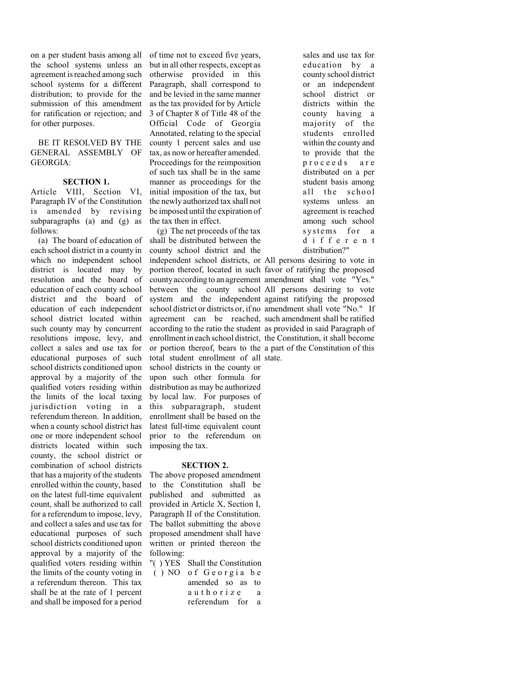on a per student basis among all the school systems unless an agreement is reached among such school systems for a different distribution; to provide for the submission of this amendment for ratification or rejection; and for other purposes.

#### BE IT RESOLVED BY THE GENERAL ASSEMBLY OF GEORGIA:

#### **SECTION 1.**

Article VIII, Section VI, Paragraph IV of the Constitution is amended by revising subparagraphs (a) and (g) as follows:

(a) The board of education of each school district in a county in which no independent school district is located may by resolution and the board of education of each county school district and the board of education of each independent school district located within such county may by concurrent resolutions impose, levy, and collect a sales and use tax for educational purposes of such school districts conditioned upon approval by a majority of the qualified voters residing within the limits of the local taxing jurisdiction voting in a referendum thereon. In addition, when a county school district has one or more independent school districts located within such county, the school district or combination of school districts that has a majority of the students enrolled within the county, based on the latest full-time equivalent count, shall be authorized to call for a referendum to impose, levy, and collect a sales and use tax for educational purposes of such school districts conditioned upon approval by a majority of the qualified voters residing within the limits of the county voting in a referendum thereon. This tax shall be at the rate of 1 percent and shall be imposed for a period

of time not to exceed five years, but in all other respects, except as otherwise provided in this Paragraph, shall correspond to and be levied in the same manner as the tax provided for by Article 3 of Chapter 8 of Title 48 of the Official Code of Georgia Annotated, relating to the special county 1 percent sales and use tax, as nowor hereafter amended. Proceedings for the reimposition of such tax shall be in the same manner as proceedings for the initial imposition of the tax, but the newly authorized tax shall not be imposed until the expiration of the tax then in effect.

(g) The net proceeds of the tax shall be distributed between the county school district and the independent school districts, or All persons desiring to vote in portion thereof, located in such favor of ratifying the proposed county according to an agreement amendment shall vote "Yes." between the county school All persons desiring to vote system and the independent against ratifying the proposed school district or districts or, if no amendment shall vote "No." If agreement can be reached, such amendment shall be ratified according to the ratio the student as provided in said Paragraph of enrollment in each school district, the Constitution, it shall become or portion thereof, bears to the a part of the Constitution of this total student enrollment of all state.school districts in the county or upon such other formula for distribution as may be authorized by local law. For purposes of this subparagraph, student enrollment shall be based on the latest full-time equivalent count prior to the referendum on imposing the tax.

#### **SECTION 2.**

The above proposed amendment to the Constitution shall be published and submitted as provided in Article X, Section I, Paragraph II of the Constitution. The ballot submitting the above proposed amendment shall have written or printed thereon the following:

"( ) YES Shall the Constitution () NO of Georgia be amended so as to authorize a referendum for a

sales and use tax for education by a county school district or an independent school district or districts within the county having a majority of the students enrolled within the county and to provide that the p r o c e e d s a r e distributed on a per student basis among all the school systems unless an agreement is reached among such school systems for a d i f f e r e n t distribution?"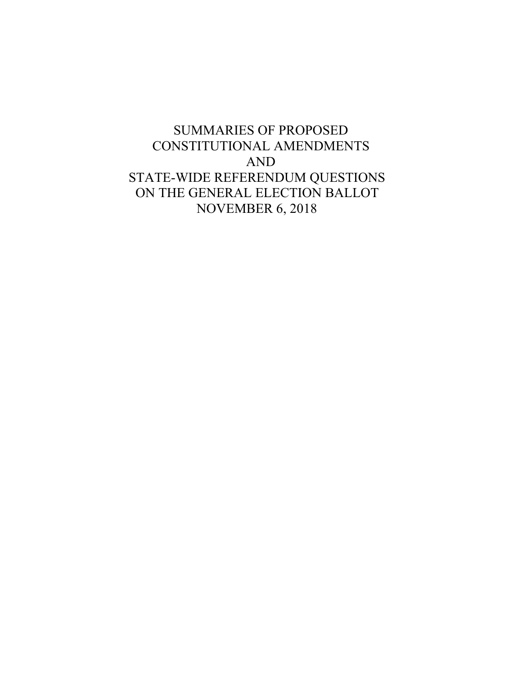# SUMMARIES OF PROPOSED CONSTITUTIONAL AMENDMENTS AND STATE-WIDE REFERENDUM QUESTIONS ON THE GENERAL ELECTION BALLOT NOVEMBER 6, 2018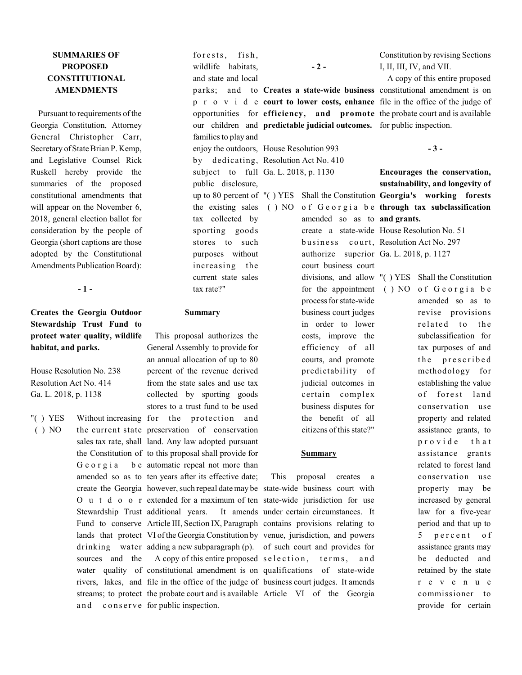### **SUMMARIES OF PROPOSED CONSTITUTIONAL AMENDMENTS**

Pursuant to requirements of the Georgia Constitution, Attorney General Christopher Carr, Secretary ofState Brian P. Kemp, and Legislative Counsel Rick Ruskell hereby provide the summaries of the proposed constitutional amendments that will appear on the November 6, 2018, general election ballot for consideration by the people of Georgia (short captions are those adopted by the Constitutional Amendments Publication Board):

**- 1 -**

**Creates the Georgia Outdoor Stewardship Trust Fund to protect water quality, wildlife habitat, and parks.**

House Resolution No. 238 Resolution Act No. 414 Ga. L. 2018, p. 1138

> $G$  e o r g i a sources and the

forests, fish, wildlife habitats, and state and local families to play and public disclosure, the existing sales tax collected by sporting goods stores to such purposes without increasing the current state sales tax rate?"

#### **Summary**

"( ) YES Without increasing for the protection and ( ) NO the current state preservation of conservation sales tax rate, shall land. Any law adopted pursuant the Constitution of to this proposal shall provide for amended so as to ten years after its effective date; create the Georgia however, such repeal date may be state-wide business court with O u t d o o r extended for a maximum of ten state-wide jurisdiction for use Stewardship Trust additional years. It amends Fund to conserve Article III, Section IX, Paragraph contains provisions relating to lands that protect VI of the Georgia Constitution by venue, jurisdiction, and powers drinking water adding a new subparagraph (p). of such court and provides for This proposal authorizes the General Assembly to provide for an annual allocation of up to 80 percent of the revenue derived from the state sales and use tax collected by sporting goods stores to a trust fund to be used b e automatic repeal not more than

water quality of constitutional amendment is on qualifications of state-wide rivers, lakes, and file in the office of the judge of business court judges. It amends streams; to protect the probate court and is available Article VI of the Georgia and conserve for public inspection.

# **- 2 -**

p r o v i d e **court to lower costs, enhance** file in the office of the judge of opportunities for **efficiency, and promote** the probate court and is available our children and **predictable judicial outcomes.** for public inspection.

enjoy the outdoors, House Resolution 993 by dedicating, Resolution Act No. 410 subject to full Ga. L. 2018, p. 1130

create a state-wide House Resolution No. 51 court business court for the appointment () NO of Georgia be process for state-wide business court judges in order to lower costs, improve the efficiency of all courts, and promote predictability of judicial outcomes in certain complex business disputes for the benefit of all citizens of this state?"

#### **Summary**

A copy of this entire proposed selection, terms, and This proposal creates a It amends under certain circumstances. It

Constitution by revising Sections I, II, III, IV, and VII.

parks; and to **Creates a state-wide business** constitutional amendment is on A copy of this entire proposed

**- 3 -**

up to 80 percent of "( ) YES Shall the Constitution **Georgia's working forests** ( ) NO o f G e o r g i a b e **through tax subclassification** amended so as to **and grants. Encourages the conservation, sustainability, and longevity of**

> business court, Resolution Act No. 297 authorize superior Ga. L. 2018, p. 1127

divisions, and allow "( ) YES Shall the Constitution

amended so as to revise provisions related to the subclassification for tax purposes of and the prescribed methodology for establishing the value of forest land conservation use property and related assistance grants, to p r o v i d e th a t assistance grants related to forest land conservation use property may be increased by general law for a five-year period and that up to 5 percent of assistance grants may be deducted and retained by the state r e v e n u e commissioner to provide for certain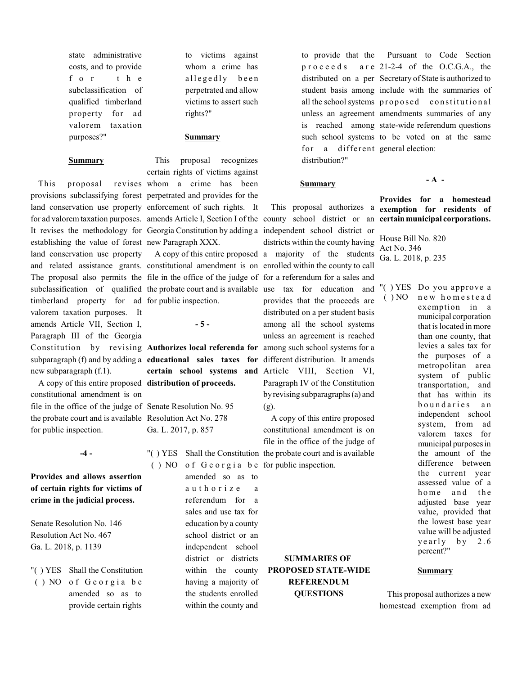state administrative costs, and to provide f o r t h e subclassification of qualified timberland property for ad valorem taxation purposes?"

#### **Summary**

This proposal provisions subclassifying forest perpetrated and provides for the land conservation use property enforcement of such rights. It for ad valorem taxation purposes. amends Article I, Section I of the county school district or an It revises the methodology for Georgia Constitution by adding a independent school district or establishing the value of forest new Paragraph XXX. land conservation use property and related assistance grants. constitutional amendment is on enrolled within the county to call The proposal also permits the file in the office of the judge of for a referendum for a sales and subclassification of qualified the probate court and is available use tax for education and timberland property for ad for public inspection. valorem taxation purposes. It amends Article VII, Section I, Paragraph III of the Georgia new subparagraph (f.1).

A copy of this entire proposed **distribution of proceeds.** constitutional amendment is on file in the office of the judge of Senate Resolution No. 95 the probate court and is available Resolution Act No. 278 for public inspection.

**-4 -**

**Provides and allows assertion of certain rights for victims of crime in the judicial process.**

Senate Resolution No. 146 Resolution Act No. 467 Ga. L. 2018, p. 1139

"( ) YES Shall the Constitution () NO of Georgia be amended so as to provide certain rights

to victims against whom a crime has allegedly been perpetrated and allow victims to assert such rights?"

#### **Summary**

This proposal recognizes certain rights of victims against revises whom a crime has been

**- 5 -**

Constitution by revising **Authorizes local referenda for** among such school systems for a subparagraph (f) and by adding a **educational sales taxes for** different distribution. It amends **certain school systems and** Article VIII, Section VI,

Ga. L. 2017, p. 857

"( ) YES Shall the Constitution the probate court and is available

amended so as to authorize a referendum for a sales and use tax for education by a county school district or an independent school district or districts within the county having a majority of the students enrolled within the county and

to provide that the p r o c e e d s for a different general election: distribution?"

#### **Summary**

A copy of this entire proposed a majority of the students This proposal authorizes a districts within the county having provides that the proceeds are distributed on a per student basis among all the school systems unless an agreement is reached Paragraph IV of the Constitution byrevising subparagraphs (a) and (g).

() NO of Georgia be for public inspection. A copy of this entire proposed constitutional amendment is on file in the office of the judge of

> **SUMMARIES OF PROPOSED STATE-WIDE REFERENDUM QUESTIONS**

distributed on a per Secretary of State is authorized to student basis among include with the summaries of all the school systems proposed constitutional unless an agreement amendments summaries of any is reached among state-wide referendum questions such school systems to be voted on at the same Pursuant to Code Section 21-2-4 of the O.C.G.A., the

#### **- A -**

**Provides for a homestead exemption for residents of certain municipal corporations.**

House Bill No. 820 Act No. 346 Ga. L. 2018, p. 235

- "( ) YES Do you approve a
- () NO new homestead exemption in a municipal corporation that is located in more than one county, that levies a sales tax for the purposes of a metropolitan area system of public transportation, and that has within its boundaries an independent school system, from ad valorem taxes for municipal purposes in the amount of the difference between the current year assessed value of a home and the adjusted base year value, provided that the lowest base year value will be adjusted yearly by  $2.6$ percent?"

#### **Summary**

This proposal authorizes a new homestead exemption from ad